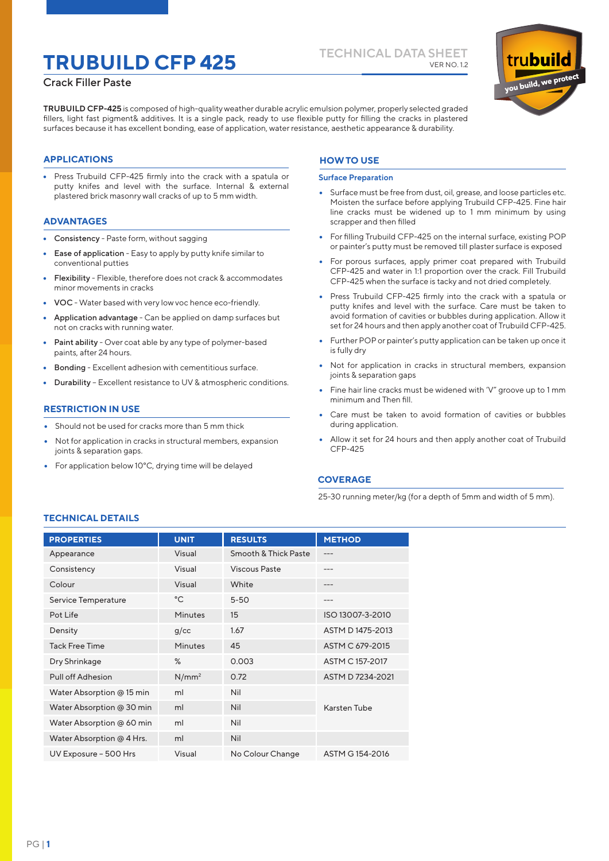# **TECHNICAL DATA SHEET TRUBUILD CFP 425** VER NO. 1.2

### Crack Filler Paste

**TRUBUILD CFP-425** is composed of high-quality weather durable acrylic emulsion polymer, properly selected graded fillers, light fast pigment& additives. It is a single pack, ready to use flexible putty for filling the cracks in plastered surfaces because it has excellent bonding, ease of application, water resistance, aesthetic appearance & durability.

### **APPLICATIONS**

• Press Trubuild CFP-425 firmly into the crack with a spatula or putty knifes and level with the surface. Internal & external plastered brick masonry wall cracks of up to 5 mm width.

### **ADVANTAGES**

- Consistency Paste form, without sagging
- Ease of application Easy to apply by putty knife similar to conventional putties
- Flexibility Flexible, therefore does not crack & accommodates minor movements in cracks
- VOC Water based with very low voc hence eco-friendly.
- Application advantage Can be applied on damp surfaces but not on cracks with running water.
- Paint ability Over coat able by any type of polymer-based paints, after 24 hours.
- Bonding Excellent adhesion with cementitious surface.
- Durability Excellent resistance to UV & atmospheric conditions.

### **RESTRICTION IN USE**

- Should not be used for cracks more than 5 mm thick
- Not for application in cracks in structural members, expansion joints & separation gaps.
- For application below 10°C, drying time will be delayed

### **HOW TO USE**

### **Surface Preparation**

- Surface must be free from dust, oil, grease, and loose particles etc. Moisten the surface before applying Trubuild CFP-425. Fine hair line cracks must be widened up to 1 mm minimum by using scrapper and then filled
- For filling Trubuild CFP-425 on the internal surface, existing POP or painter's putty must be removed till plaster surface is exposed
- For porous surfaces, apply primer coat prepared with Trubuild CFP-425 and water in 1:1 proportion over the crack. Fill Trubuild CFP-425 when the surface is tacky and not dried completely.
- Press Trubuild CFP-425 firmly into the crack with a spatula or putty knifes and level with the surface. Care must be taken to avoid formation of cavities or bubbles during application. Allow it set for 24 hours and then apply another coat of Trubuild CFP-425.
- Further POP or painter's putty application can be taken up once it is fully dry
- Not for application in cracks in structural members, expansion joints & separation gaps
- Fine hair line cracks must be widened with 'V" groove up to 1 mm minimum and Then fill.
- Care must be taken to avoid formation of cavities or bubbles during application.
- Allow it set for 24 hours and then apply another coat of Trubuild CFP-425

### **COVERAGE**

25-30 running meter/kg (for a depth of 5mm and width of 5 mm).

### **TECHNICAL DETAILS**

| <b>PROPERTIES</b>         | <b>UNIT</b>       | <b>RESULTS</b>       | <b>METHOD</b>    |
|---------------------------|-------------------|----------------------|------------------|
| Appearance                | Visual            | Smooth & Thick Paste |                  |
| Consistency               | Visual            | Viscous Paste        | ---              |
| Colour                    | Visual            | White                | ---              |
| Service Temperature       | $^{\circ}$ C      | $5 - 50$             |                  |
| Pot Life                  | Minutes           | 15                   | ISO 13007-3-2010 |
| Density                   | g/cc              | 1.67                 | ASTM D1475-2013  |
| <b>Tack Free Time</b>     | <b>Minutes</b>    | 45                   | ASTM C 679-2015  |
| Dry Shrinkage             | $\%$              | 0.003                | ASTM C 157-2017  |
| Pull off Adhesion         | N/mm <sup>2</sup> | 0.72                 | ASTM D 7234-2021 |
| Water Absorption @ 15 min | ml                | Nil                  |                  |
| Water Absorption @ 30 min | ml                | <b>Nil</b>           | Karsten Tube     |
| Water Absorption @ 60 min | ml                | <b>Nil</b>           |                  |
| Water Absorption @ 4 Hrs. | ml                | <b>Nil</b>           |                  |
| UV Exposure - 500 Hrs     | Visual            | No Colour Change     | ASTM G 154-2016  |